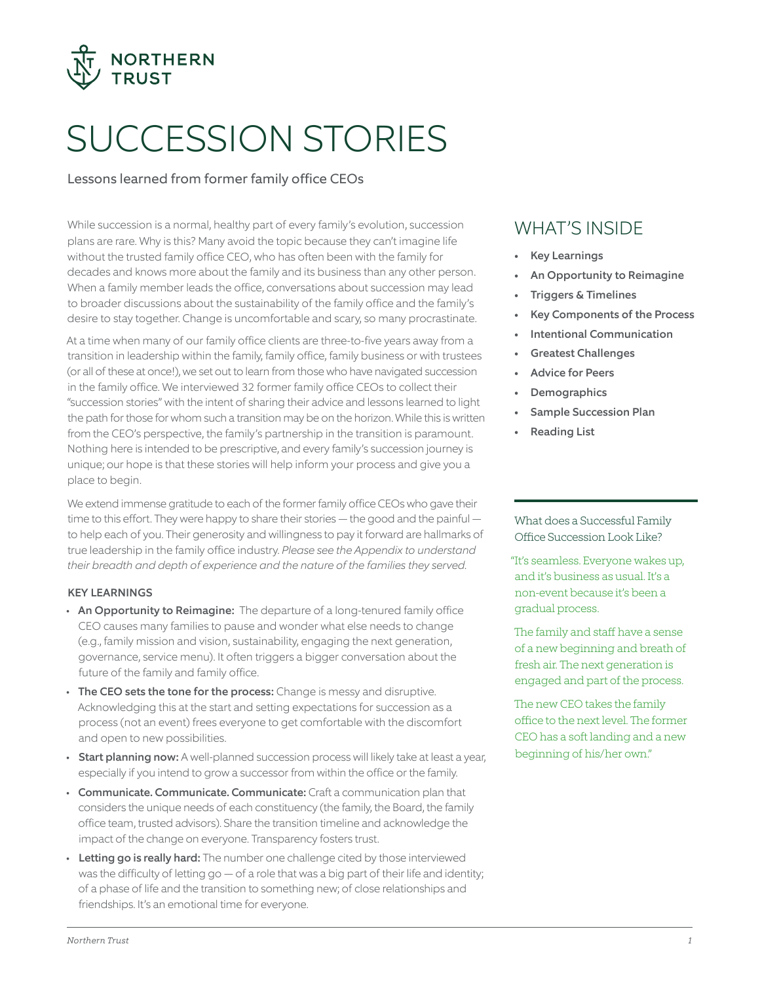

# SUCCESSION STORIES

# Lessons learned from former family office CEOs

While succession is a normal, healthy part of every family's evolution, succession plans are rare. Why is this? Many avoid the topic because they can't imagine life without the trusted family office CEO, who has often been with the family for decades and knows more about the family and its business than any other person. When a family member leads the office, conversations about succession may lead to broader discussions about the sustainability of the family office and the family's desire to stay together. Change is uncomfortable and scary, so many procrastinate.

At a time when many of our family office clients are three-to-five years away from a transition in leadership within the family, family office, family business or with trustees (or all of these at once!), we set out to learn from those who have navigated succession in the family office. We interviewed 32 former family office CEOs to collect their "succession stories" with the intent of sharing their advice and lessons learned to light the path for those for whom such a transition may be on the horizon. While this is written from the CEO's perspective, the family's partnership in the transition is paramount. Nothing here is intended to be prescriptive, and every family's succession journey is unique; our hope is that these stories will help inform your process and give you a place to begin.

We extend immense gratitude to each of the former family office CEOs who gave their time to this effort. They were happy to share their stories — the good and the painful to help each of you. Their generosity and willingness to pay it forward are hallmarks of true leadership in the family office industry. *Please see the Appendix to understand their breadth and depth of experience and the nature of the families they served.*

### KEY LEARNINGS

- An Opportunity to Reimagine: The departure of a long-tenured family office CEO causes many families to pause and wonder what else needs to change (e.g., family mission and vision, sustainability, engaging the next generation, governance, service menu). It often triggers a bigger conversation about the future of the family and family office.
- The CEO sets the tone for the process: Change is messy and disruptive. Acknowledging this at the start and setting expectations for succession as a process (not an event) frees everyone to get comfortable with the discomfort and open to new possibilities.
- Start planning now: A well-planned succession process will likely take at least a year, especially if you intend to grow a successor from within the office or the family.
- Communicate. Communicate. Communicate: Craft a communication plan that considers the unique needs of each constituency (the family, the Board, the family office team, trusted advisors). Share the transition timeline and acknowledge the impact of the change on everyone. Transparency fosters trust.
- Letting go is really hard: The number one challenge cited by those interviewed was the difficulty of letting go — of a role that was a big part of their life and identity; of a phase of life and the transition to something new; of close relationships and friendships. It's an emotional time for everyone.

# WHAT'S INSIDE

- **Key Learnings**
- An Opportunity to Reimagine
- Triggers & Timelines
- Key Components of the Process
- Intentional Communication
- Greatest Challenges
- Advice for Peers
- **Demographics**
- Sample Succession Plan
- **Reading List**

What does a Successful Family Office Succession Look Like?

"It's seamless. Everyone wakes up, and it's business as usual. It's a non-event because it's been a gradual process.

The family and staff have a sense of a new beginning and breath of fresh air. The next generation is engaged and part of the process.

The new CEO takes the family office to the next level. The former CEO has a soft landing and a new beginning of his/her own."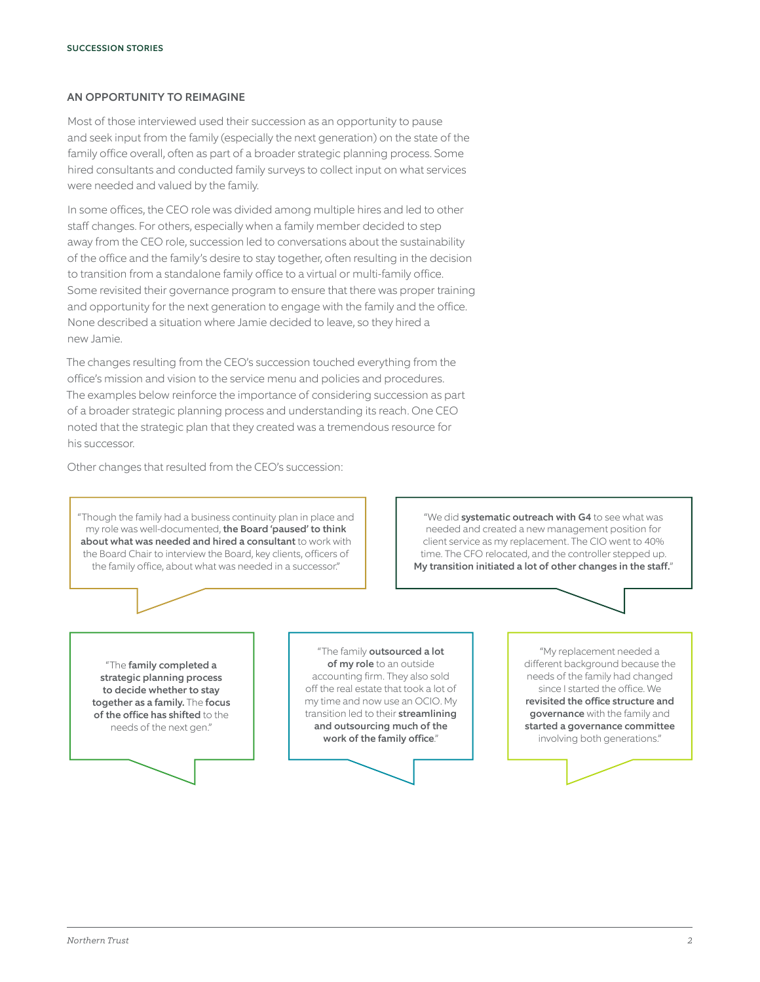#### AN OPPORTUNITY TO REIMAGINE

Most of those interviewed used their succession as an opportunity to pause and seek input from the family (especially the next generation) on the state of the family office overall, often as part of a broader strategic planning process. Some hired consultants and conducted family surveys to collect input on what services were needed and valued by the family.

In some offices, the CEO role was divided among multiple hires and led to other staff changes. For others, especially when a family member decided to step away from the CEO role, succession led to conversations about the sustainability of the office and the family's desire to stay together, often resulting in the decision to transition from a standalone family office to a virtual or multi-family office. Some revisited their governance program to ensure that there was proper training and opportunity for the next generation to engage with the family and the office. None described a situation where Jamie decided to leave, so they hired a new Jamie.

The changes resulting from the CEO's succession touched everything from the office's mission and vision to the service menu and policies and procedures. The examples below reinforce the importance of considering succession as part of a broader strategic planning process and understanding its reach. One CEO noted that the strategic plan that they created was a tremendous resource for his successor.

Other changes that resulted from the CEO's succession:

"Though the family had a business continuity plan in place and my role was well-documented, the Board 'paused' to think about what was needed and hired a consultant to work with the Board Chair to interview the Board, key clients, officers of the family office, about what was needed in a successor."

"We did systematic outreach with G4 to see what was needed and created a new management position for client service as my replacement. The CIO went to 40% time. The CFO relocated, and the controller stepped up. My transition initiated a lot of other changes in the staff."

"The family completed a strategic planning process to decide whether to stay together as a family. The focus of the office has shifted to the needs of the next gen."

"The family outsourced a lot of my role to an outside accounting firm. They also sold off the real estate that took a lot of my time and now use an OCIO. My transition led to their **streamlining** and outsourcing much of the work of the family office."

"My replacement needed a different background because the needs of the family had changed since I started the office. We revisited the office structure and governance with the family and started a governance committee involving both generations."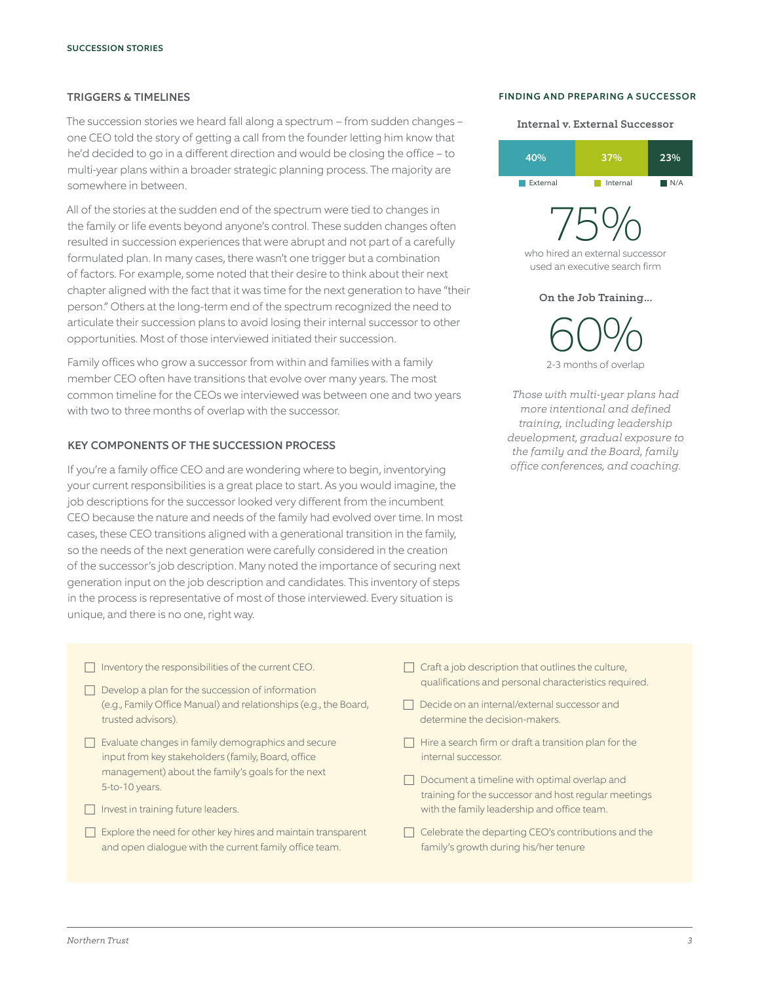#### TRIGGERS & TIMELINES

The succession stories we heard fall along a spectrum – from sudden changes – one CEO told the story of getting a call from the founder letting him know that he'd decided to go in a different direction and would be closing the office – to multi-year plans within a broader strategic planning process. The majority are somewhere in between.

All of the stories at the sudden end of the spectrum were tied to changes in the family or life events beyond anyone's control. These sudden changes often resulted in succession experiences that were abrupt and not part of a carefully formulated plan. In many cases, there wasn't one trigger but a combination of factors. For example, some noted that their desire to think about their next chapter aligned with the fact that it was time for the next generation to have "their person." Others at the long-term end of the spectrum recognized the need to articulate their succession plans to avoid losing their internal successor to other opportunities. Most of those interviewed initiated their succession.

Family offices who grow a successor from within and families with a family member CEO often have transitions that evolve over many years. The most common timeline for the CEOs we interviewed was between one and two years with two to three months of overlap with the successor.

#### KEY COMPONENTS OF THE SUCCESSION PROCESS

If you're a family office CEO and are wondering where to begin, inventorying your current responsibilities is a great place to start. As you would imagine, the job descriptions for the successor looked very different from the incumbent CEO because the nature and needs of the family had evolved over time. In most cases, these CEO transitions aligned with a generational transition in the family, so the needs of the next generation were carefully considered in the creation of the successor's job description. Many noted the importance of securing next generation input on the job description and candidates. This inventory of steps in the process is representative of most of those interviewed. Every situation is unique, and there is no one, right way.

#### FINDING AND PREPARING A SUCCESSOR

#### Internal v. External Successor



75% who hired an external successor

used an executive search firm

On the Job Training...

60% 2-3 months of overlap

*Those with multi-year plans had more intentional and defined training, including leadership development, gradual exposure to the family and the Board, family office conferences, and coaching.*

- $\Box$  Inventory the responsibilities of the current CEO.
- $\Box$  Develop a plan for the succession of information (e.g., Family Office Manual) and relationships (e.g., the Board, trusted advisors).
- $\Box$  Evaluate changes in family demographics and secure input from key stakeholders (family, Board, office management) about the family's goals for the next 5-to-10 years.
- $\Box$  Invest in training future leaders.
- $\Box$  Explore the need for other key hires and maintain transparent and open dialogue with the current family office team.
- $\Box$  Craft a job description that outlines the culture, qualifications and personal characteristics required.
- $\Box$  Decide on an internal/external successor and determine the decision-makers.
- $\Box$  Hire a search firm or draft a transition plan for the internal successor.
- $\Box$  Document a timeline with optimal overlap and training for the successor and host regular meetings with the family leadership and office team.
- $\Box$  Celebrate the departing CEO's contributions and the family's growth during his/her tenure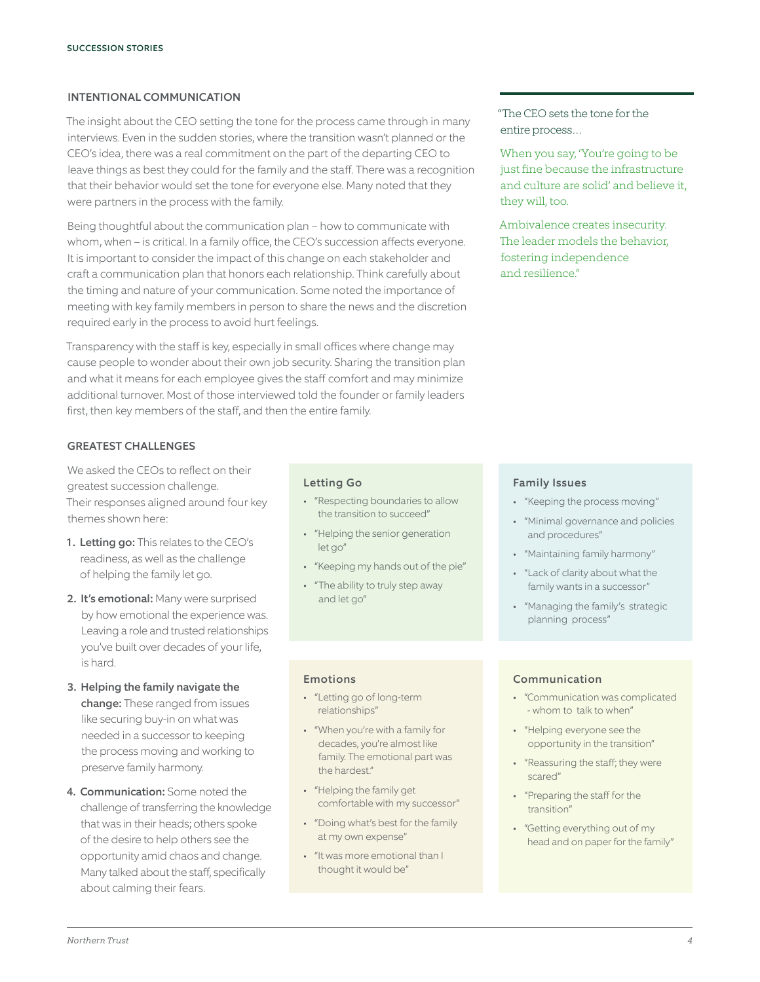#### INTENTIONAL COMMUNICATION

The insight about the CEO setting the tone for the process came through in many interviews. Even in the sudden stories, where the transition wasn't planned or the CEO's idea, there was a real commitment on the part of the departing CEO to leave things as best they could for the family and the staff. There was a recognition that their behavior would set the tone for everyone else. Many noted that they were partners in the process with the family.

Being thoughtful about the communication plan – how to communicate with whom, when – is critical. In a family office, the CEO's succession affects everyone. It is important to consider the impact of this change on each stakeholder and craft a communication plan that honors each relationship. Think carefully about the timing and nature of your communication. Some noted the importance of meeting with key family members in person to share the news and the discretion required early in the process to avoid hurt feelings.

Transparency with the staff is key, especially in small offices where change may cause people to wonder about their own job security. Sharing the transition plan and what it means for each employee gives the staff comfort and may minimize additional turnover. Most of those interviewed told the founder or family leaders first, then key members of the staff, and then the entire family.

# "The CEO sets the tone for the entire process…

When you say, 'You're going to be just fine because the infrastructure and culture are solid' and believe it, they will, too.

Ambivalence creates insecurity. The leader models the behavior, fostering independence and resilience"

#### GREATEST CHALLENGES

We asked the CEOs to reflect on their greatest succession challenge. Their responses aligned around four key themes shown here:

- 1. Letting go: This relates to the CEO's readiness, as well as the challenge of helping the family let go.
- 2. It's emotional: Many were surprised by how emotional the experience was. Leaving a role and trusted relationships you've built over decades of your life, is hard.
- 3. Helping the family navigate the change: These ranged from issues like securing buy-in on what was needed in a successor to keeping the process moving and working to preserve family harmony.
- 4. Communication: Some noted the challenge of transferring the knowledge that was in their heads; others spoke of the desire to help others see the opportunity amid chaos and change. Many talked about the staff, specifically about calming their fears.

#### Letting Go

- "Respecting boundaries to allow the transition to succeed"
- "Helping the senior generation let go"
- "Keeping my hands out of the pie"
- "The ability to truly step away and let go"

#### Family Issues

- "Keeping the process moving"
- "Minimal governance and policies and procedures"
- "Maintaining family harmony"
- "Lack of clarity about what the family wants in a successor"
- "Managing the family's strategic planning process"

#### Communication

- "Communication was complicated - whom to talk to when"
- "Helping everyone see the opportunity in the transition"
- "Reassuring the staff; they were scared"
- "Preparing the staff for the transition"
- "Getting everything out of my head and on paper for the family"

#### Emotions

- "Letting go of long-term relationships"
- "When you're with a family for decades, you're almost like family. The emotional part was the hardest."
- "Helping the family get comfortable with my successor"
- "Doing what's best for the family at my own expense"
- "It was more emotional than I thought it would be"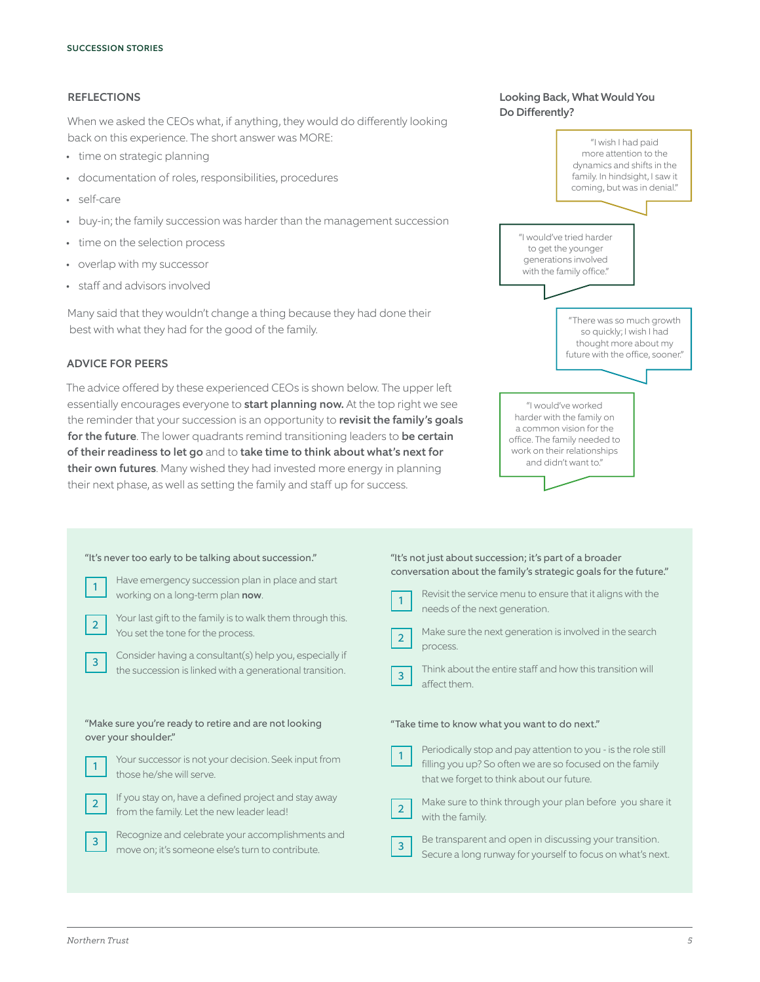## **REFLECTIONS**

When we asked the CEOs what, if anything, they would do differently looking back on this experience. The short answer was MORE:

- time on strategic planning
- documentation of roles, responsibilities, procedures
- self-care
- buy-in; the family succession was harder than the management succession
- time on the selection process
- overlap with my successor
- staff and advisors involved

Many said that they wouldn't change a thing because they had done their best with what they had for the good of the family.

#### ADVICE FOR PEERS

The advice offered by these experienced CEOs is shown below. The upper left essentially encourages everyone to start planning now. At the top right we see the reminder that your succession is an opportunity to revisit the family's goals for the future. The lower quadrants remind transitioning leaders to be certain of their readiness to let go and to take time to think about what's next for their own futures. Many wished they had invested more energy in planning their next phase, as well as setting the family and staff up for success.



| "It's never too early to be talking about succession."     | "It's not just about succession; it's part of a broader          |
|------------------------------------------------------------|------------------------------------------------------------------|
| Have emergency succession plan in place and start          | conversation about the family's strategic goals for the future." |
| $\overline{1}$                                             | Revisit the service menu to ensure that it aligns with the       |
| working on a long-term plan now.                           | needs of the next generation.                                    |
| Your last gift to the family is to walk them through this. | Make sure the next generation is involved in the search          |
| $\overline{2}$                                             | $\overline{2}$                                                   |
| You set the tone for the process.                          | process.                                                         |
| Consider having a consultant(s) help you, especially if    | Think about the entire staff and how this transition will        |
| $\overline{3}$                                             | $\overline{3}$                                                   |
| the succession is linked with a generational transition.   | affect them.                                                     |
| "Make sure you're ready to retire and are not looking      | "Take time to know what you want to do next."                    |
|                                                            |                                                                  |
| over your shoulder."                                       | Periodically stop and pay attention to you - is the role still   |
| Your successor is not your decision. Seek input from       | filling you up? So often we are so focused on the family         |
| those he/she will serve.                                   | that we forget to think about our future.                        |
| If you stay on, have a defined project and stay away       | Make sure to think through your plan before you share it         |
| $\overline{2}$                                             | $\overline{2}$                                                   |
| from the family. Let the new leader lead!                  | with the family.                                                 |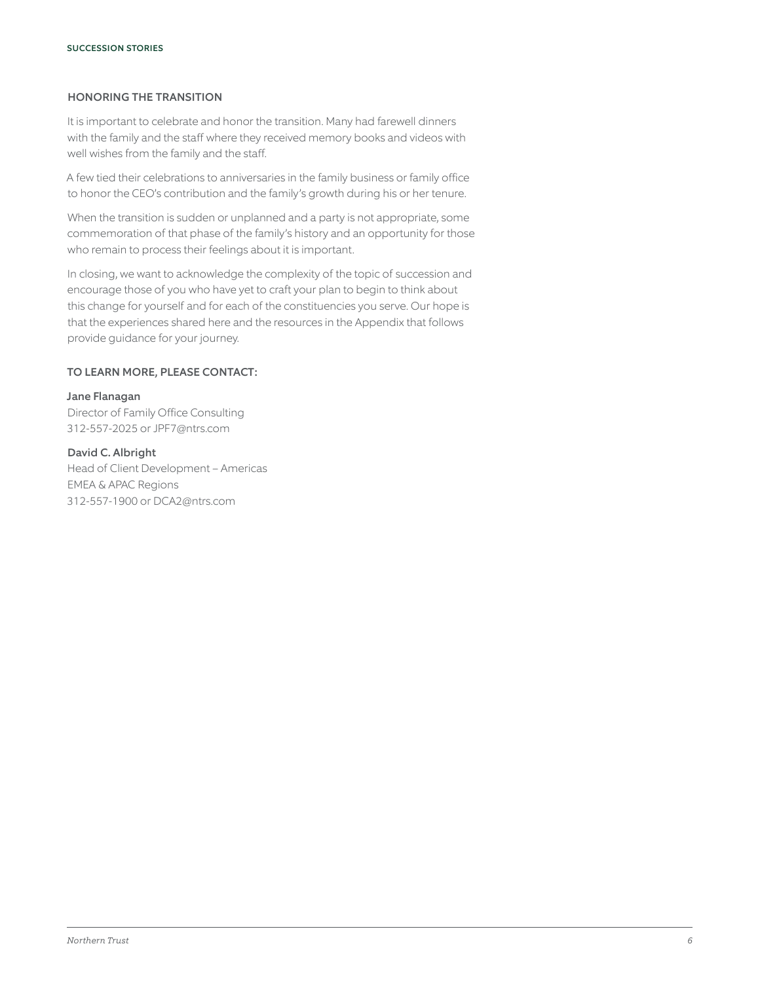### HONORING THE TRANSITION

It is important to celebrate and honor the transition. Many had farewell dinners with the family and the staff where they received memory books and videos with well wishes from the family and the staff.

A few tied their celebrations to anniversaries in the family business or family office to honor the CEO's contribution and the family's growth during his or her tenure.

When the transition is sudden or unplanned and a party is not appropriate, some commemoration of that phase of the family's history and an opportunity for those who remain to process their feelings about it is important.

In closing, we want to acknowledge the complexity of the topic of succession and encourage those of you who have yet to craft your plan to begin to think about this change for yourself and for each of the constituencies you serve. Our hope is that the experiences shared here and the resources in the Appendix that follows provide guidance for your journey.

#### TO LEARN MORE, PLEASE CONTACT:

#### Jane Flanagan

Director of Family Office Consulting 312-557-2025 or JPF7@ntrs.com

#### David C. Albright

Head of Client Development – Americas EMEA & APAC Regions 312-557-1900 or DCA2@ntrs.com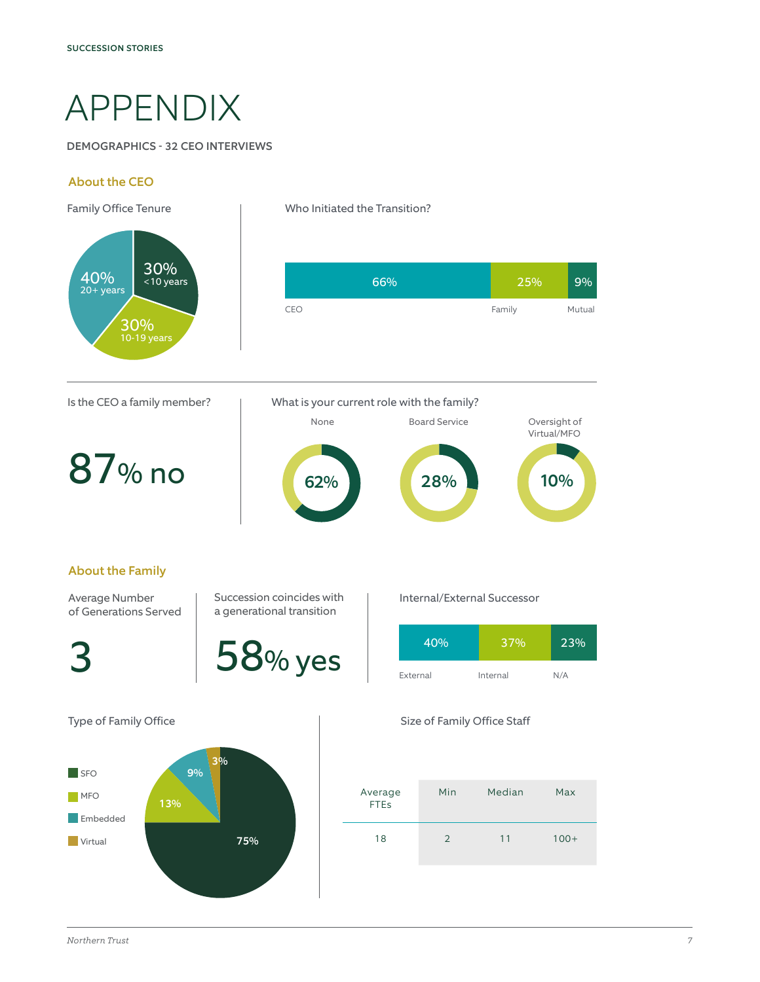# APPENDIX

# DEMOGRAPHICS - 32 CEO INTERVIEWS

# About the CEO

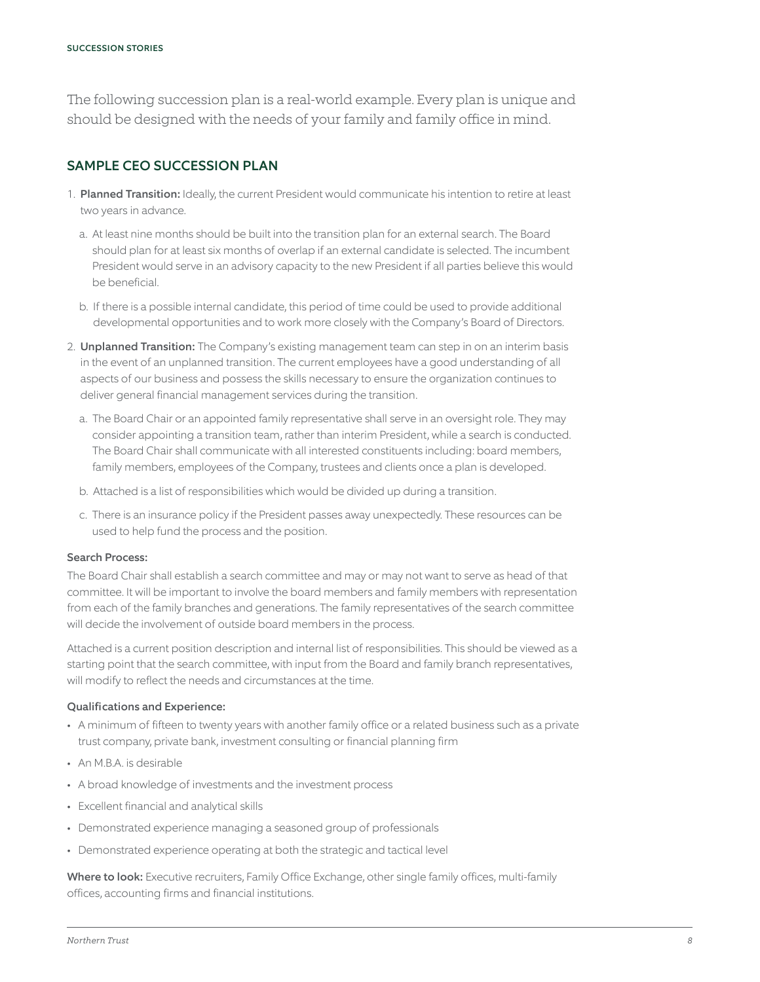The following succession plan is a real-world example. Every plan is unique and should be designed with the needs of your family and family office in mind.

# SAMPLE CEO SUCCESSION PLAN

- 1. Planned Transition: Ideally, the current President would communicate his intention to retire at least two years in advance.
	- a. At least nine months should be built into the transition plan for an external search. The Board should plan for at least six months of overlap if an external candidate is selected. The incumbent President would serve in an advisory capacity to the new President if all parties believe this would be beneficial.
	- b. If there is a possible internal candidate, this period of time could be used to provide additional developmental opportunities and to work more closely with the Company's Board of Directors.
- 2. **Unplanned Transition:** The Company's existing management team can step in on an interim basis in the event of an unplanned transition. The current employees have a good understanding of all aspects of our business and possess the skills necessary to ensure the organization continues to deliver general financial management services during the transition.
	- a. The Board Chair or an appointed family representative shall serve in an oversight role. They may consider appointing a transition team, rather than interim President, while a search is conducted. The Board Chair shall communicate with all interested constituents including: board members, family members, employees of the Company, trustees and clients once a plan is developed.
	- b. Attached is a list of responsibilities which would be divided up during a transition.
	- c. There is an insurance policy if the President passes away unexpectedly. These resources can be used to help fund the process and the position.

#### Search Process:

The Board Chair shall establish a search committee and may or may not want to serve as head of that committee. It will be important to involve the board members and family members with representation from each of the family branches and generations. The family representatives of the search committee will decide the involvement of outside board members in the process.

Attached is a current position description and internal list of responsibilities. This should be viewed as a starting point that the search committee, with input from the Board and family branch representatives, will modify to reflect the needs and circumstances at the time.

#### Qualifications and Experience:

- A minimum of fifteen to twenty years with another family office or a related business such as a private trust company, private bank, investment consulting or financial planning firm
- An M.B.A. is desirable
- A broad knowledge of investments and the investment process
- Excellent financial and analytical skills
- Demonstrated experience managing a seasoned group of professionals
- Demonstrated experience operating at both the strategic and tactical level

Where to look: Executive recruiters, Family Office Exchange, other single family offices, multi-family offices, accounting firms and financial institutions.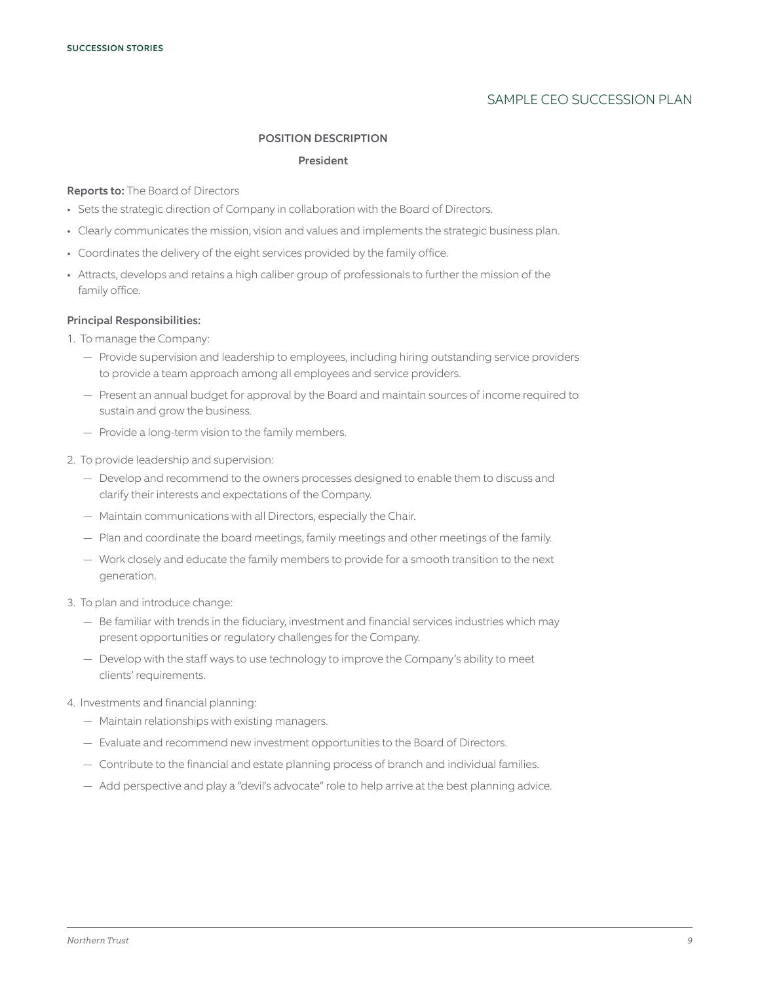# SAMPLE CEO SUCCESSION PLAN

#### POSITION DESCRIPTION

#### President

#### Reports to: The Board of Directors

- Sets the strategic direction of Company in collaboration with the Board of Directors.
- Clearly communicates the mission, vision and values and implements the strategic business plan.
- Coordinates the delivery of the eight services provided by the family office.
- Attracts, develops and retains a high caliber group of professionals to further the mission of the family office.

#### Principal Responsibilities:

- 1. To manage the Company:
	- Provide supervision and leadership to employees, including hiring outstanding service providers to provide a team approach among all employees and service providers.
	- Present an annual budget for approval by the Board and maintain sources of income required to sustain and grow the business.
	- Provide a long-term vision to the family members.
- 2. To provide leadership and supervision:
	- Develop and recommend to the owners processes designed to enable them to discuss and clarify their interests and expectations of the Company.
	- Maintain communications with all Directors, especially the Chair.
	- Plan and coordinate the board meetings, family meetings and other meetings of the family.
	- Work closely and educate the family members to provide for a smooth transition to the next generation.
- 3. To plan and introduce change:
	- Be familiar with trends in the fiduciary, investment and financial services industries which may present opportunities or regulatory challenges for the Company.
	- Develop with the staff ways to use technology to improve the Company's ability to meet clients' requirements.
- 4. Investments and financial planning:
	- Maintain relationships with existing managers.
	- Evaluate and recommend new investment opportunities to the Board of Directors.
	- Contribute to the financial and estate planning process of branch and individual families.
	- Add perspective and play a "devil's advocate" role to help arrive at the best planning advice.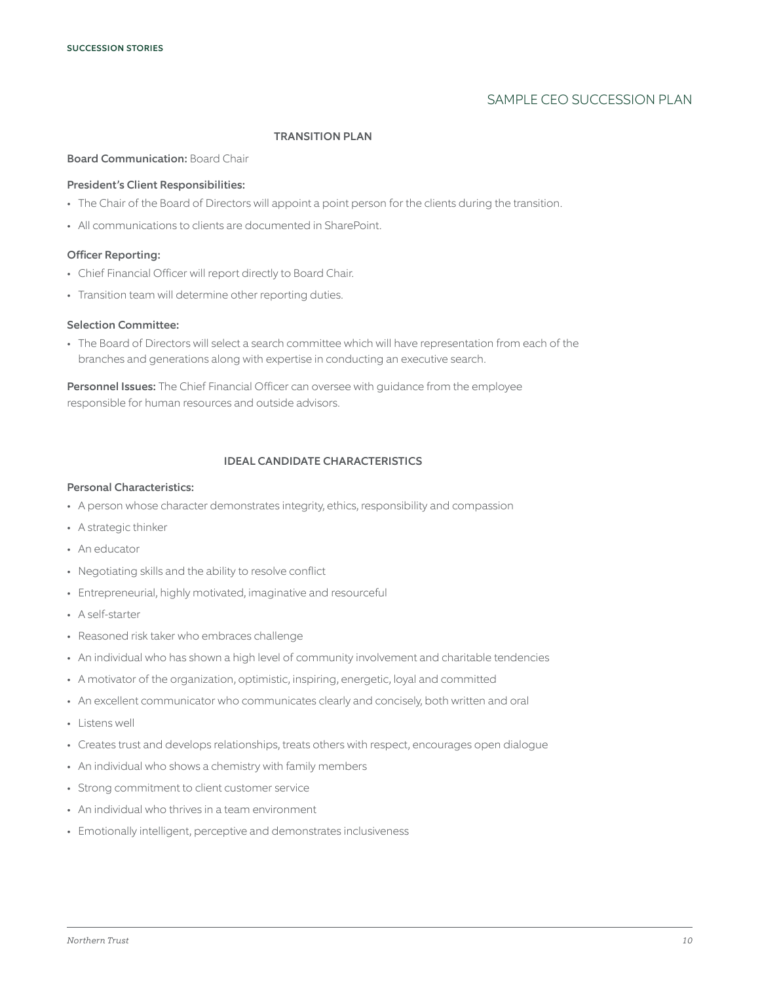# SAMPLE CEO SUCCESSION PLAN

#### TRANSITION PLAN

#### Board Communication: Board Chair

#### President's Client Responsibilities:

- The Chair of the Board of Directors will appoint a point person for the clients during the transition.
- All communications to clients are documented in SharePoint.

#### Officer Reporting:

- Chief Financial Officer will report directly to Board Chair.
- Transition team will determine other reporting duties.

#### Selection Committee:

• The Board of Directors will select a search committee which will have representation from each of the branches and generations along with expertise in conducting an executive search.

Personnel Issues: The Chief Financial Officer can oversee with quidance from the employee responsible for human resources and outside advisors.

#### IDEAL CANDIDATE CHARACTERISTICS

#### Personal Characteristics:

- A person whose character demonstrates integrity, ethics, responsibility and compassion
- A strategic thinker
- An educator
- Negotiating skills and the ability to resolve conflict
- Entrepreneurial, highly motivated, imaginative and resourceful
- A self-starter
- Reasoned risk taker who embraces challenge
- An individual who has shown a high level of community involvement and charitable tendencies
- A motivator of the organization, optimistic, inspiring, energetic, loyal and committed
- An excellent communicator who communicates clearly and concisely, both written and oral
- Listens well
- Creates trust and develops relationships, treats others with respect, encourages open dialogue
- An individual who shows a chemistry with family members
- Strong commitment to client customer service
- An individual who thrives in a team environment
- Emotionally intelligent, perceptive and demonstrates inclusiveness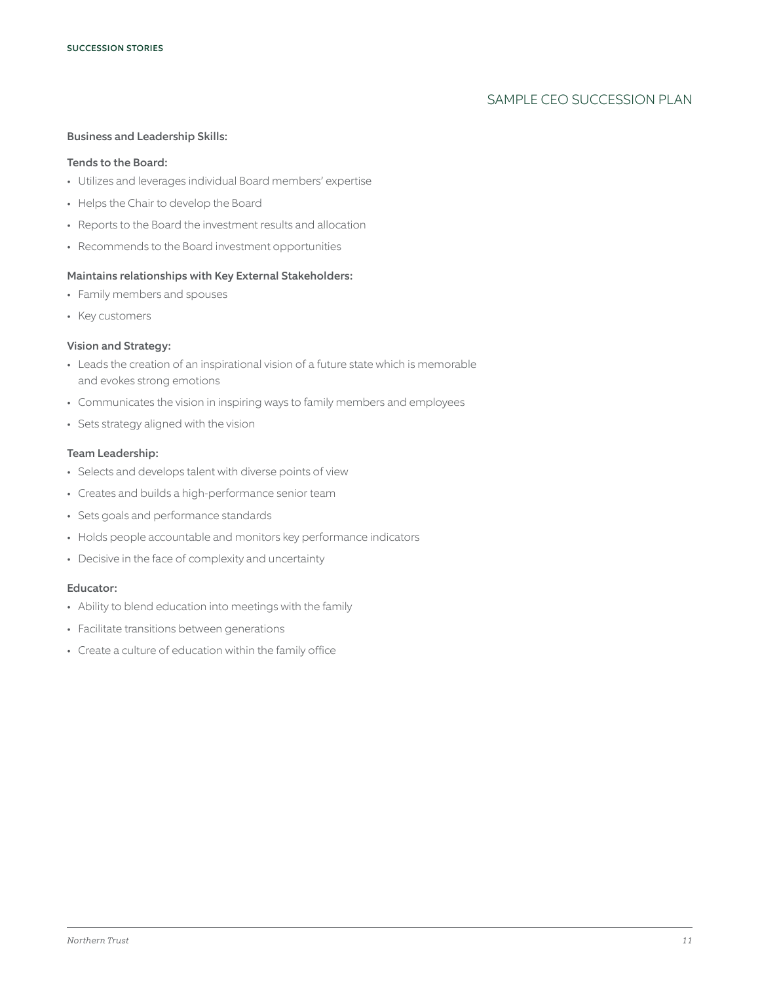# SAMPLE CEO SUCCESSION PLAN

#### Business and Leadership Skills:

#### Tends to the Board:

- Utilizes and leverages individual Board members' expertise
- Helps the Chair to develop the Board
- Reports to the Board the investment results and allocation
- Recommends to the Board investment opportunities

#### Maintains relationships with Key External Stakeholders:

- Family members and spouses
- Key customers

#### Vision and Strategy:

- Leads the creation of an inspirational vision of a future state which is memorable and evokes strong emotions
- Communicates the vision in inspiring ways to family members and employees
- Sets strategy aligned with the vision

# Team Leadership:

- Selects and develops talent with diverse points of view
- Creates and builds a high-performance senior team
- Sets goals and performance standards
- Holds people accountable and monitors key performance indicators
- Decisive in the face of complexity and uncertainty

#### Educator:

- Ability to blend education into meetings with the family
- Facilitate transitions between generations
- Create a culture of education within the family office